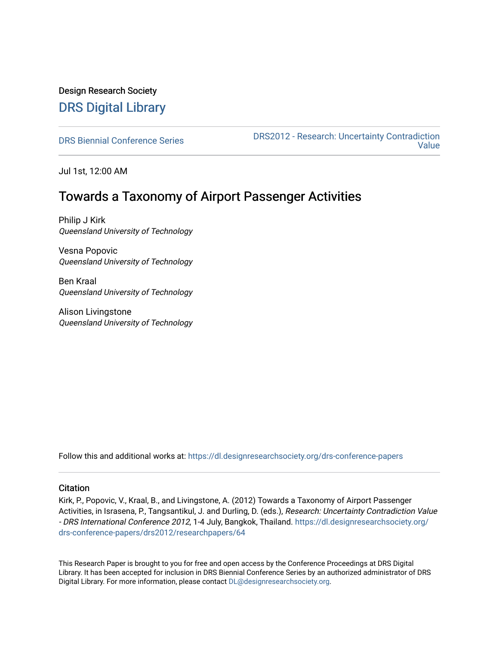# Design Research Society [DRS Digital Library](https://dl.designresearchsociety.org/)

[DRS Biennial Conference Series](https://dl.designresearchsociety.org/drs-conference-papers) DRS2012 - Research: Uncertainty Contradiction [Value](https://dl.designresearchsociety.org/drs-conference-papers/drs2012) 

Jul 1st, 12:00 AM

# Towards a Taxonomy of Airport Passenger Activities

Philip J Kirk Queensland University of Technology

Vesna Popovic Queensland University of Technology

Ben Kraal Queensland University of Technology

Alison Livingstone Queensland University of Technology

Follow this and additional works at: [https://dl.designresearchsociety.org/drs-conference-papers](https://dl.designresearchsociety.org/drs-conference-papers?utm_source=dl.designresearchsociety.org%2Fdrs-conference-papers%2Fdrs2012%2Fresearchpapers%2F64&utm_medium=PDF&utm_campaign=PDFCoverPages) 

#### **Citation**

Kirk, P., Popovic, V., Kraal, B., and Livingstone, A. (2012) Towards a Taxonomy of Airport Passenger Activities, in Israsena, P., Tangsantikul, J. and Durling, D. (eds.), Research: Uncertainty Contradiction Value - DRS International Conference 2012, 1-4 July, Bangkok, Thailand. [https://dl.designresearchsociety.org/](https://dl.designresearchsociety.org/drs-conference-papers/drs2012/researchpapers/64?utm_source=dl.designresearchsociety.org%2Fdrs-conference-papers%2Fdrs2012%2Fresearchpapers%2F64&utm_medium=PDF&utm_campaign=PDFCoverPages) [drs-conference-papers/drs2012/researchpapers/64](https://dl.designresearchsociety.org/drs-conference-papers/drs2012/researchpapers/64?utm_source=dl.designresearchsociety.org%2Fdrs-conference-papers%2Fdrs2012%2Fresearchpapers%2F64&utm_medium=PDF&utm_campaign=PDFCoverPages)

This Research Paper is brought to you for free and open access by the Conference Proceedings at DRS Digital Library. It has been accepted for inclusion in DRS Biennial Conference Series by an authorized administrator of DRS Digital Library. For more information, please contact [DL@designresearchsociety.org.](mailto:DL@designresearchsociety.org)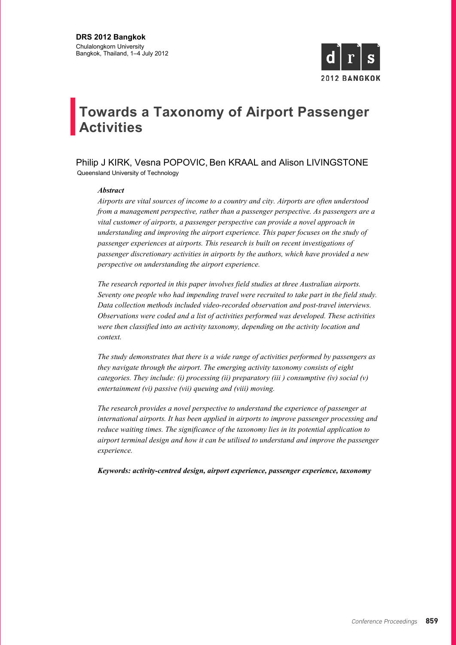

# **Towards a Taxonomy of Airport Passenger Activities**

Philip J KIRK, Vesna POPOVIC, Ben KRAAL and Alison LIVINGSTONE Queensland University of Technology

#### *Abstract*

*Airports are vital sources of income to a country and city. Airports are often understood from a management perspective, rather than a passenger perspective. As passengers are a vital customer of airports, a passenger perspective can provide a novel approach in understanding and improving the airport experience. This paper focuses on the study of passenger experiences at airports. This research is built on recent investigations of passenger discretionary activities in airports by the authors, which have provided a new perspective on understanding the airport experience.*

*The research reported in this paper involves field studies at three Australian airports. Seventy one people who had impending travel were recruited to take part in the field study. Data collection methods included video-recorded observation and post-travel interviews. Observations were coded and a list of activities performed was developed. These activities were then classified into an activity taxonomy, depending on the activity location and context.*

*The study demonstrates that there is a wide range of activities performed by passengers as they navigate through the airport. The emerging activity taxonomy consists of eight categories. They include: (i) processing (ii) preparatory (iii ) consumptive (iv) social (v) entertainment (vi) passive (vii) queuing and (viii) moving.*

*The research provides a novel perspective to understand the experience of passenger at international airports. It has been applied in airports to improve passenger processing and reduce waiting times. The significance of the taxonomy lies in its potential application to airport terminal design and how it can be utilised to understand and improve the passenger experience.* 

*Keywords: activity-centred design, airport experience, passenger experience, taxonomy*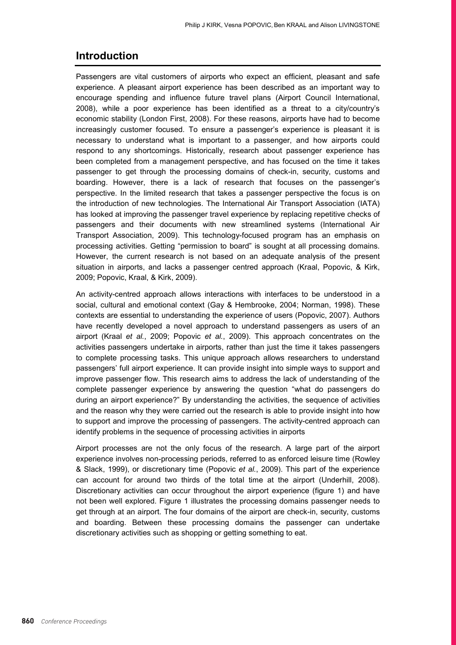#### **Introduction**

Passengers are vital customers of airports who expect an efficient, pleasant and safe experience. A pleasant airport experience has been described as an important way to encourage spending and influence future travel plans (Airport Council International, 2008), while a poor experience has been identified as a threat to a city/country's economic stability (London First, 2008). For these reasons, airports have had to become increasingly customer focused. To ensure a passenger's experience is pleasant it is necessary to understand what is important to a passenger, and how airports could respond to any shortcomings. Historically, research about passenger experience has been completed from a management perspective, and has focused on the time it takes passenger to get through the processing domains of check-in, security, customs and boarding. However, there is a lack of research that focuses on the passenger's perspective. In the limited research that takes a passenger perspective the focus is on the introduction of new technologies. The International Air Transport Association (IATA) has looked at improving the passenger travel experience by replacing repetitive checks of passengers and their documents with new streamlined systems (International Air Transport Association, 2009). This technology-focused program has an emphasis on processing activities. Getting "permission to board" is sought at all processing domains. However, the current research is not based on an adequate analysis of the present situation in airports, and lacks a passenger centred approach (Kraal, Popovic, & Kirk, 2009; Popovic, Kraal, & Kirk, 2009).

An activity-centred approach allows interactions with interfaces to be understood in a social, cultural and emotional context (Gay & Hembrooke, 2004; Norman, 1998). These contexts are essential to understanding the experience of users (Popovic, 2007). Authors have recently developed a novel approach to understand passengers as users of an airport (Kraal *et al.*, 2009; Popovic *et al.*, 2009). This approach concentrates on the activities passengers undertake in airports, rather than just the time it takes passengers to complete processing tasks. This unique approach allows researchers to understand passengers' full airport experience. It can provide insight into simple ways to support and improve passenger flow. This research aims to address the lack of understanding of the complete passenger experience by answering the question "what do passengers do during an airport experience?" By understanding the activities, the sequence of activities and the reason why they were carried out the research is able to provide insight into how to support and improve the processing of passengers. The activity-centred approach can identify problems in the sequence of processing activities in airports

Airport processes are not the only focus of the research. A large part of the airport experience involves non-processing periods, referred to as enforced leisure time (Rowley & Slack, 1999), or discretionary time (Popovic *et al.*, 2009). This part of the experience can account for around two thirds of the total time at the airport (Underhill, 2008). Discretionary activities can occur throughout the airport experience (figure 1) and have not been well explored. Figure 1 illustrates the processing domains passenger needs to get through at an airport. The four domains of the airport are check-in, security, customs and boarding. Between these processing domains the passenger can undertake discretionary activities such as shopping or getting something to eat.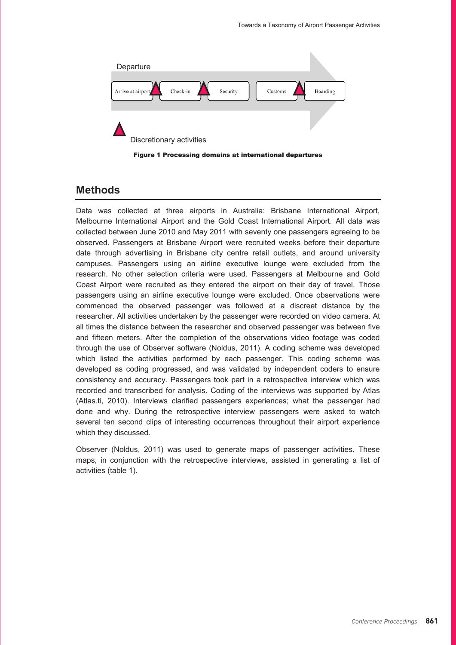

Figure 1 Processing domains at international departures

#### **Methods**

Data was collected at three airports in Australia: Brisbane International Airport, Melbourne International Airport and the Gold Coast International Airport. All data was collected between June 2010 and May 2011 with seventy one passengers agreeing to be observed. Passengers at Brisbane Airport were recruited weeks before their departure date through advertising in Brisbane city centre retail outlets, and around university campuses. Passengers using an airline executive lounge were excluded from the research. No other selection criteria were used. Passengers at Melbourne and Gold Coast Airport were recruited as they entered the airport on their day of travel. Those passengers using an airline executive lounge were excluded. Once observations were commenced the observed passenger was followed at a discreet distance by the researcher. All activities undertaken by the passenger were recorded on video camera. At all times the distance between the researcher and observed passenger was between five and fifteen meters. After the completion of the observations video footage was coded through the use of Observer software (Noldus, 2011). A coding scheme was developed which listed the activities performed by each passenger. This coding scheme was developed as coding progressed, and was validated by independent coders to ensure consistency and accuracy. Passengers took part in a retrospective interview which was recorded and transcribed for analysis. Coding of the interviews was supported by Atlas (Atlas.ti, 2010). Interviews clarified passengers experiences; what the passenger had done and why. During the retrospective interview passengers were asked to watch several ten second clips of interesting occurrences throughout their airport experience which they discussed.

Observer (Noldus, 2011) was used to generate maps of passenger activities. These maps, in conjunction with the retrospective interviews, assisted in generating a list of activities (table 1).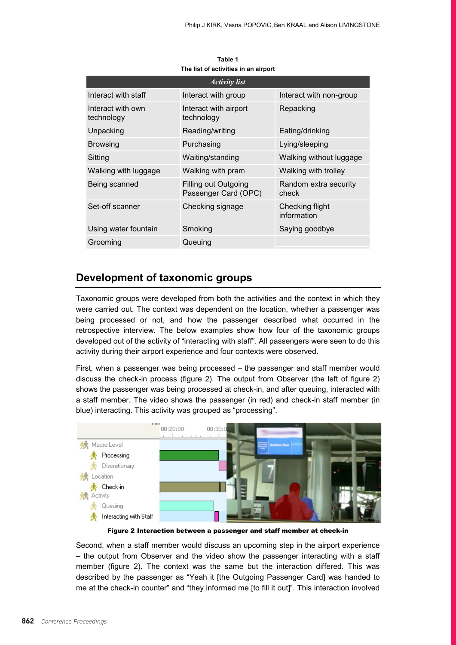| THE HST OF ACTIVITIES IN AN AIL DOLL |                                                     |                                |  |  |
|--------------------------------------|-----------------------------------------------------|--------------------------------|--|--|
| <i><b>Activity list</b></i>          |                                                     |                                |  |  |
| Interact with staff                  | Interact with group                                 | Interact with non-group        |  |  |
| Interact with own<br>technology      | Interact with airport<br>technology                 | Repacking                      |  |  |
| Unpacking                            | Reading/writing                                     | Eating/drinking                |  |  |
| <b>Browsing</b>                      | Purchasing                                          | Lying/sleeping                 |  |  |
| Sitting                              | Waiting/standing                                    | Walking without luggage        |  |  |
| Walking with luggage                 | Walking with pram                                   | Walking with trolley           |  |  |
| Being scanned                        | <b>Filling out Outgoing</b><br>Passenger Card (OPC) | Random extra security<br>check |  |  |
| Set-off scanner                      | Checking signage                                    | Checking flight<br>information |  |  |
| Using water fountain                 | Smoking                                             | Saying goodbye                 |  |  |
| Grooming                             | Queuing                                             |                                |  |  |

**Table 1 The list of activities in an airport**

#### **Development of taxonomic groups**

Taxonomic groups were developed from both the activities and the context in which they were carried out. The context was dependent on the location, whether a passenger was being processed or not, and how the passenger described what occurred in the retrospective interview. The below examples show how four of the taxonomic groups developed out of the activity of "interacting with staff". All passengers were seen to do this activity during their airport experience and four contexts were observed.

First, when a passenger was being processed – the passenger and staff member would discuss the check-in process (figure 2). The output from Observer (the left of figure 2) shows the passenger was being processed at check-in, and after queuing, interacted with a staff member. The video shows the passenger (in red) and check-in staff member (in blue) interacting. This activity was grouped as "processing".



Figure 2 Interaction between a passenger and staff member at check-in

Second, when a staff member would discuss an upcoming step in the airport experience – the output from Observer and the video show the passenger interacting with a staff member (figure 2). The context was the same but the interaction differed. This was described by the passenger as "Yeah it [the Outgoing Passenger Card] was handed to me at the check-in counter" and "they informed me [to fill it out]". This interaction involved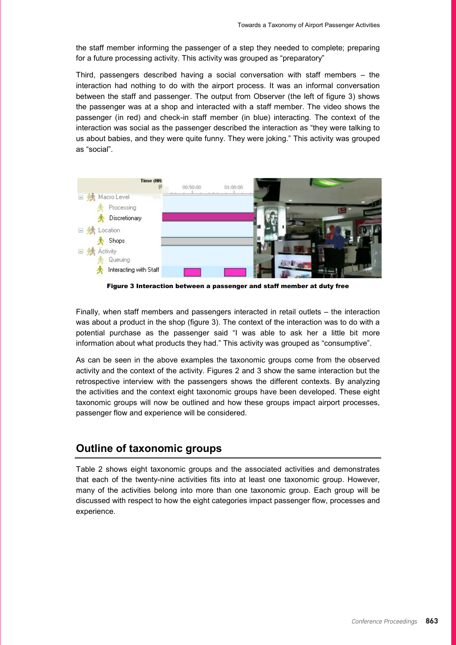the staff member informing the passenger of a step they needed to complete; preparing for a future processing activity. This activity was grouped as "preparatory"

Third, passengers described having a social conversation with staff members – the interaction had nothing to do with the airport process. It was an informal conversation between the staff and passenger. The output from Observer (the left of figure 3) shows the passenger was at a shop and interacted with a staff member. The video shows the passenger (in red) and check-in staff member (in blue) interacting. The context of the interaction was social as the passenger described the interaction as "they were talking to us about babies, and they were quite funny. They were joking." This activity was grouped as "social".



Figure 3 Interaction between a passenger and staff member at duty free

Finally, when staff members and passengers interacted in retail outlets – the interaction was about a product in the shop (figure 3). The context of the interaction was to do with a potential purchase as the passenger said "I was able to ask her a little bit more information about what products they had." This activity was grouped as "consumptive".

As can be seen in the above examples the taxonomic groups come from the observed activity and the context of the activity. Figures 2 and 3 show the same interaction but the retrospective interview with the passengers shows the different contexts. By analyzing the activities and the context eight taxonomic groups have been developed. These eight taxonomic groups will now be outlined and how these groups impact airport processes, passenger flow and experience will be considered.

#### **Outline of taxonomic groups**

Table 2 shows eight taxonomic groups and the associated activities and demonstrates that each of the twenty-nine activities fits into at least one taxonomic group. However, many of the activities belong into more than one taxonomic group. Each group will be discussed with respect to how the eight categories impact passenger flow, processes and experience.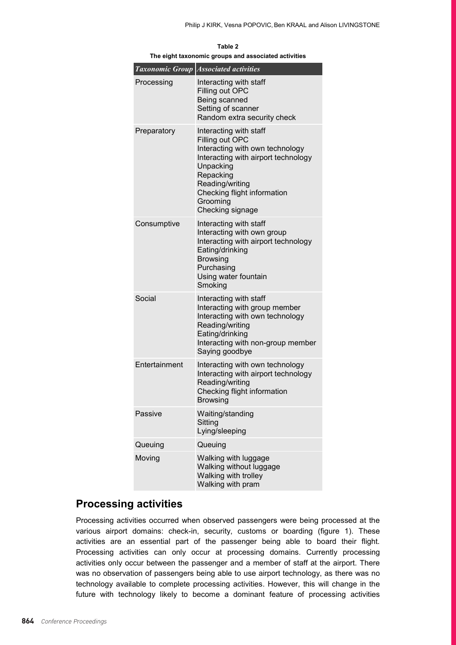|               | <b>Taxonomic Group Associated activities</b>                                                                                                                                                                                    |
|---------------|---------------------------------------------------------------------------------------------------------------------------------------------------------------------------------------------------------------------------------|
| Processing    | Interacting with staff<br>Filling out OPC<br>Being scanned<br>Setting of scanner<br>Random extra security check                                                                                                                 |
| Preparatory   | Interacting with staff<br>Filling out OPC<br>Interacting with own technology<br>Interacting with airport technology<br>Unpacking<br>Repacking<br>Reading/writing<br>Checking flight information<br>Grooming<br>Checking signage |
| Consumptive   | Interacting with staff<br>Interacting with own group<br>Interacting with airport technology<br>Eating/drinking<br><b>Browsing</b><br>Purchasing<br>Using water fountain<br>Smoking                                              |
| Social        | Interacting with staff<br>Interacting with group member<br>Interacting with own technology<br>Reading/writing<br>Eating/drinking<br>Interacting with non-group member<br>Saying goodbye                                         |
| Entertainment | Interacting with own technology<br>Interacting with airport technology<br>Reading/writing<br>Checking flight information<br><b>Browsing</b>                                                                                     |
| Passive       | Waiting/standing<br>Sitting<br>Lying/sleeping                                                                                                                                                                                   |
| Queuing       | Queuing                                                                                                                                                                                                                         |
| Moving        | Walking with luggage<br>Walking without luggage<br>Walking with trolley<br>Walking with pram                                                                                                                                    |

**Table 2 The eight taxonomic groups and associated activities**

### **Processing activities**

Processing activities occurred when observed passengers were being processed at the various airport domains: check-in, security, customs or boarding (figure 1). These activities are an essential part of the passenger being able to board their flight. Processing activities can only occur at processing domains. Currently processing activities only occur between the passenger and a member of staff at the airport. There was no observation of passengers being able to use airport technology, as there was no technology available to complete processing activities. However, this will change in the future with technology likely to become a dominant feature of processing activities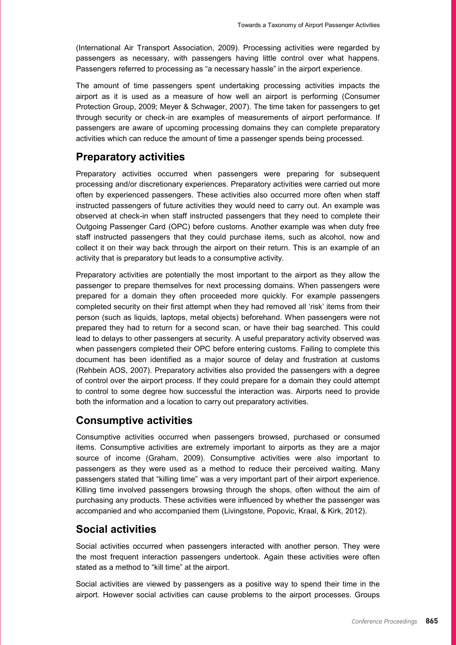(International Air Transport Association, 2009). Processing activities were regarded by passengers as necessary, with passengers having little control over what happens. Passengers referred to processing as "a necessary hassle" in the airport experience.

The amount of time passengers spent undertaking processing activities impacts the airport as it is used as a measure of how well an airport is performing (Consumer Protection Group, 2009; Meyer & Schwager, 2007). The time taken for passengers to get through security or check-in are examples of measurements of airport performance. If passengers are aware of upcoming processing domains they can complete preparatory activities which can reduce the amount of time a passenger spends being processed.

### **Preparatory activities**

Preparatory activities occurred when passengers were preparing for subsequent processing and/or discretionary experiences. Preparatory activities were carried out more often by experienced passengers. These activities also occurred more often when staff instructed passengers of future activities they would need to carry out. An example was observed at check-in when staff instructed passengers that they need to complete their Outgoing Passenger Card (OPC) before customs. Another example was when duty free staff instructed passengers that they could purchase items, such as alcohol, now and collect it on their way back through the airport on their return. This is an example of an activity that is preparatory but leads to a consumptive activity.

Preparatory activities are potentially the most important to the airport as they allow the passenger to prepare themselves for next processing domains. When passengers were prepared for a domain they often proceeded more quickly. For example passengers completed security on their first attempt when they had removed all 'risk' items from their person (such as liquids, laptops, metal objects) beforehand. When passengers were not prepared they had to return for a second scan, or have their bag searched. This could lead to delays to other passengers at security. A useful preparatory activity observed was when passengers completed their OPC before entering customs. Failing to complete this document has been identified as a major source of delay and frustration at customs (Rehbein AOS, 2007). Preparatory activities also provided the passengers with a degree of control over the airport process. If they could prepare for a domain they could attempt to control to some degree how successful the interaction was. Airports need to provide both the information and a location to carry out preparatory activities.

### **Consumptive activities**

Consumptive activities occurred when passengers browsed, purchased or consumed items. Consumptive activities are extremely important to airports as they are a major source of income (Graham, 2009). Consumptive activities were also important to passengers as they were used as a method to reduce their perceived waiting. Many passengers stated that "killing time" was a very important part of their airport experience. Killing time involved passengers browsing through the shops, often without the aim of purchasing any products. These activities were influenced by whether the passenger was accompanied and who accompanied them (Livingstone, Popovic, Kraal, & Kirk, 2012).

### **Social activities**

Social activities occurred when passengers interacted with another person. They were the most frequent interaction passengers undertook. Again these activities were often stated as a method to "kill time" at the airport.

Social activities are viewed by passengers as a positive way to spend their time in the airport. However social activities can cause problems to the airport processes. Groups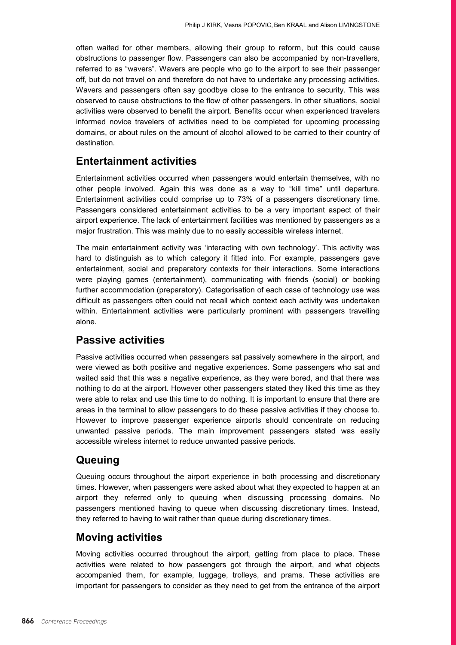often waited for other members, allowing their group to reform, but this could cause obstructions to passenger flow. Passengers can also be accompanied by non-travellers, referred to as "wavers". Wavers are people who go to the airport to see their passenger off, but do not travel on and therefore do not have to undertake any processing activities. Wavers and passengers often say goodbye close to the entrance to security. This was observed to cause obstructions to the flow of other passengers. In other situations, social activities were observed to benefit the airport. Benefits occur when experienced travelers informed novice travelers of activities need to be completed for upcoming processing domains, or about rules on the amount of alcohol allowed to be carried to their country of destination.

## **Entertainment activities**

Entertainment activities occurred when passengers would entertain themselves, with no other people involved. Again this was done as a way to "kill time" until departure. Entertainment activities could comprise up to 73% of a passengers discretionary time. Passengers considered entertainment activities to be a very important aspect of their airport experience. The lack of entertainment facilities was mentioned by passengers as a major frustration. This was mainly due to no easily accessible wireless internet.

The main entertainment activity was 'interacting with own technology'. This activity was hard to distinguish as to which category it fitted into. For example, passengers gave entertainment, social and preparatory contexts for their interactions. Some interactions were playing games (entertainment), communicating with friends (social) or booking further accommodation (preparatory). Categorisation of each case of technology use was difficult as passengers often could not recall which context each activity was undertaken within. Entertainment activities were particularly prominent with passengers travelling alone.

### **Passive activities**

Passive activities occurred when passengers sat passively somewhere in the airport, and were viewed as both positive and negative experiences. Some passengers who sat and waited said that this was a negative experience, as they were bored, and that there was nothing to do at the airport. However other passengers stated they liked this time as they were able to relax and use this time to do nothing. It is important to ensure that there are areas in the terminal to allow passengers to do these passive activities if they choose to. However to improve passenger experience airports should concentrate on reducing unwanted passive periods. The main improvement passengers stated was easily accessible wireless internet to reduce unwanted passive periods.

## **Queuing**

Queuing occurs throughout the airport experience in both processing and discretionary times. However, when passengers were asked about what they expected to happen at an airport they referred only to queuing when discussing processing domains. No passengers mentioned having to queue when discussing discretionary times. Instead, they referred to having to wait rather than queue during discretionary times.

### **Moving activities**

Moving activities occurred throughout the airport, getting from place to place. These activities were related to how passengers got through the airport, and what objects accompanied them, for example, luggage, trolleys, and prams. These activities are important for passengers to consider as they need to get from the entrance of the airport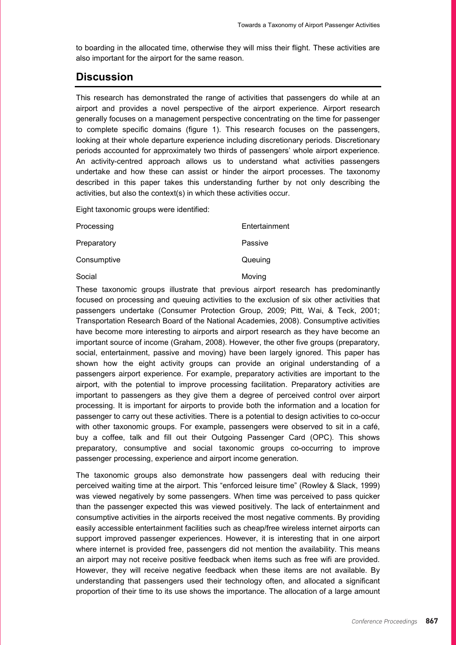to boarding in the allocated time, otherwise they will miss their flight. These activities are also important for the airport for the same reason.

#### **Discussion**

This research has demonstrated the range of activities that passengers do while at an airport and provides a novel perspective of the airport experience. Airport research generally focuses on a management perspective concentrating on the time for passenger to complete specific domains (figure 1). This research focuses on the passengers, looking at their whole departure experience including discretionary periods. Discretionary periods accounted for approximately two thirds of passengers' whole airport experience. An activity-centred approach allows us to understand what activities passengers undertake and how these can assist or hinder the airport processes. The taxonomy described in this paper takes this understanding further by not only describing the activities, but also the context(s) in which these activities occur.

Eight taxonomic groups were identified:

| Processing  | Entertainment |
|-------------|---------------|
| Preparatory | Passive       |
| Consumptive | Queuing       |
| Social      | Moving        |

Social

These taxonomic groups illustrate that previous airport research has predominantly focused on processing and queuing activities to the exclusion of six other activities that passengers undertake (Consumer Protection Group, 2009; Pitt, Wai, & Teck, 2001; Transportation Research Board of the National Academies, 2008). Consumptive activities have become more interesting to airports and airport research as they have become an important source of income (Graham, 2008). However, the other five groups (preparatory, social, entertainment, passive and moving) have been largely ignored. This paper has shown how the eight activity groups can provide an original understanding of a passengers airport experience. For example, preparatory activities are important to the airport, with the potential to improve processing facilitation. Preparatory activities are important to passengers as they give them a degree of perceived control over airport processing. It is important for airports to provide both the information and a location for passenger to carry out these activities. There is a potential to design activities to co-occur with other taxonomic groups. For example, passengers were observed to sit in a café, buy a coffee, talk and fill out their Outgoing Passenger Card (OPC). This shows preparatory, consumptive and social taxonomic groups co-occurring to improve passenger processing, experience and airport income generation.

The taxonomic groups also demonstrate how passengers deal with reducing their perceived waiting time at the airport. This "enforced leisure time" (Rowley & Slack, 1999) was viewed negatively by some passengers. When time was perceived to pass quicker than the passenger expected this was viewed positively. The lack of entertainment and consumptive activities in the airports received the most negative comments. By providing easily accessible entertainment facilities such as cheap/free wireless internet airports can support improved passenger experiences. However, it is interesting that in one airport where internet is provided free, passengers did not mention the availability. This means an airport may not receive positive feedback when items such as free wifi are provided. However, they will receive negative feedback when these items are not available. By understanding that passengers used their technology often, and allocated a significant proportion of their time to its use shows the importance. The allocation of a large amount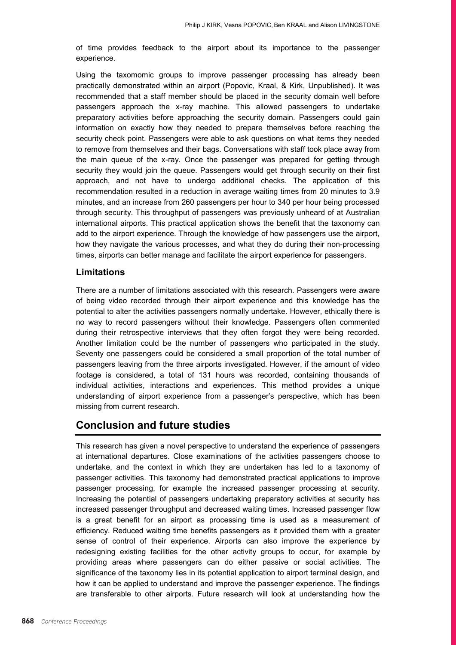of time provides feedback to the airport about its importance to the passenger experience.

Using the taxomomic groups to improve passenger processing has already been practically demonstrated within an airport (Popovic, Kraal, & Kirk, Unpublished). It was recommended that a staff member should be placed in the security domain well before passengers approach the x-ray machine. This allowed passengers to undertake preparatory activities before approaching the security domain. Passengers could gain information on exactly how they needed to prepare themselves before reaching the security check point. Passengers were able to ask questions on what items they needed to remove from themselves and their bags. Conversations with staff took place away from the main queue of the x-ray. Once the passenger was prepared for getting through security they would join the queue. Passengers would get through security on their first approach, and not have to undergo additional checks. The application of this recommendation resulted in a reduction in average waiting times from 20 minutes to 3.9 minutes, and an increase from 260 passengers per hour to 340 per hour being processed through security. This throughput of passengers was previously unheard of at Australian international airports. This practical application shows the benefit that the taxonomy can add to the airport experience. Through the knowledge of how passengers use the airport, how they navigate the various processes, and what they do during their non-processing times, airports can better manage and facilitate the airport experience for passengers.

#### **Limitations**

There are a number of limitations associated with this research. Passengers were aware of being video recorded through their airport experience and this knowledge has the potential to alter the activities passengers normally undertake. However, ethically there is no way to record passengers without their knowledge. Passengers often commented during their retrospective interviews that they often forgot they were being recorded. Another limitation could be the number of passengers who participated in the study. Seventy one passengers could be considered a small proportion of the total number of passengers leaving from the three airports investigated. However, if the amount of video footage is considered, a total of 131 hours was recorded, containing thousands of individual activities, interactions and experiences. This method provides a unique understanding of airport experience from a passenger's perspective, which has been missing from current research.

## **Conclusion and future studies**

This research has given a novel perspective to understand the experience of passengers at international departures. Close examinations of the activities passengers choose to undertake, and the context in which they are undertaken has led to a taxonomy of passenger activities. This taxonomy had demonstrated practical applications to improve passenger processing, for example the increased passenger processing at security. Increasing the potential of passengers undertaking preparatory activities at security has increased passenger throughput and decreased waiting times. Increased passenger flow is a great benefit for an airport as processing time is used as a measurement of efficiency. Reduced waiting time benefits passengers as it provided them with a greater sense of control of their experience. Airports can also improve the experience by redesigning existing facilities for the other activity groups to occur, for example by providing areas where passengers can do either passive or social activities. The significance of the taxonomy lies in its potential application to airport terminal design, and how it can be applied to understand and improve the passenger experience. The findings are transferable to other airports. Future research will look at understanding how the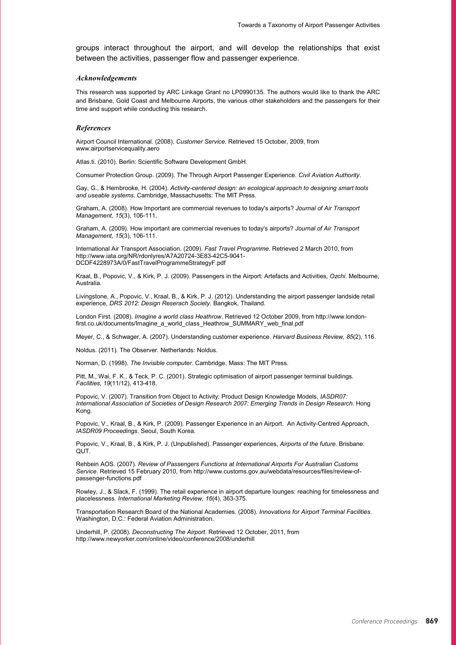groups interact throughout the airport, and will develop the relationships that exist between the activities, passenger flow and passenger experience.

#### *Acknowledgements*

This research was supported by ARC Linkage Grant no LP0990135. The authors would like to thank the ARC and Brisbane, Gold Coast and Melbourne Airports, the various other stakeholders and the passengers for their time and support while conducting this research.

#### *References*

Airport Council International. (2008). *Customer Service*. Retrieved 15 October, 2009, from www.airportservicequality.aero

Atlas.ti. (2010). Berlin: Scientific Software Development GmbH.

Consumer Protection Group. (2009). The Through Airport Passenger Experience. *Civil Aviation Authority*.

Gay, G., & Hembrooke, H. (2004). *Activity-centered design: an ecological approach to designing smart tools and useable systems*. Cambridge, Massachusetts: The MIT Press.

Graham, A. (2008). How Important are commercial revenues to today's airports? *Journal of Air Transport Management, 15*(3), 106-111.

Graham, A. (2009). How important are commercial revenues to today's airports? *Journal of Air Transport Management, 15*(3), 106-111.

International Air Transport Association. (2009). *Fast Travel Programme*. Retrieved 2 March 2010, from http://www.iata.org/NR/rdonlyres/A7A20724-3E83-42C5-9041- DCDF4228973A/0/FastTravelProgrammeStrategyF.pdf

Kraal, B., Popovic, V., & Kirk, P. J. (2009). Passengers in the Airport: Artefacts and Activities, *Ozchi*. Melbourne, Australia.

Livingstone, A., Popovic, V., Kraal, B., & Kirk, P. J. (2012). Understanding the airport passenger landside retail experience, *DRS 2012: Design Reserach Society*. Bangkok, Thailand.

London First. (2008). *Imagine a world class Heathrow*. Retrieved 12 October 2009, from http://www.londonfirst.co.uk/documents/Imagine\_a\_world\_class\_Heathrow\_SUMMARY\_web\_final.pdf

Meyer, C., & Schwager, A. (2007). Understanding customer experience. *Harvard Business Review, 85*(2), 116.

Noldus. (2011). The Observer. Netherlands: Noldus.

Norman, D. (1998). *The Invisible computer*. Cambridge, Mass: The MIT Press.

Pitt, M., Wai, F. K., & Teck, P. C. (2001). Strategic optimisation of airport passenger terminal buildings. *Facilities, 19*(11/12), 413-418.

Popovic, V. (2007). Transition from Object to Activity: Product Design Knowledge Models, *IASDR07: International Association of Societies of Design Research 2007: Emerging Trends in Design Research*. Hong Kong.

Popovic, V., Kraal, B., & Kirk, P. (2009). Passenger Experience in an Airport. An Activity-Centred Approach, *IASDR09 Proceedings*. Seoul, South Korea.

Popovic, V., Kraal, B., & Kirk, P. J. (Unpublished). Passenger experiences, *Airports of the future*. Brisbane: QUT.

Rehbein AOS. (2007). *Review of Passengers Functions at International Airports For Australian Customs Service*. Retrieved 15 February 2010, from http://www.customs.gov.au/webdata/resources/files/review-ofpassenger-functions.pdf

Rowley, J., & Slack, F. (1999). The retail experience in airport departure lounges: reaching for timelessness and placelessness. *International Marketing Review, 16*(4), 363-375.

Transportation Research Board of the National Academies. (2008). *Innovations for Airport Terminal Facilities*. Washington, D.C.: Federal Aviation Administration.

Underhill, P. (2008). *Deconstructing The Airport*. Retrieved 12 October, 2011, from http://www.newyorker.com/online/video/conference/2008/underhill